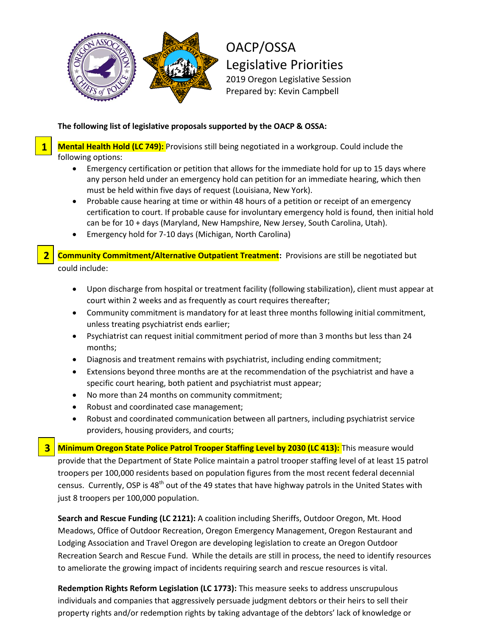

OACP/OSSA Legislative Priorities 2019 Oregon Legislative Session Prepared by: Kevin Campbell

## **The following list of legislative proposals supported by the OACP & OSSA:**

**Mental Health Hold (LC 749):** Provisions still being negotiated in a workgroup. Could include the following options:

- Emergency certification or petition that allows for the immediate hold for up to 15 days where any person held under an emergency hold can petition for an immediate hearing, which then must be held within five days of request (Louisiana, New York).
- Probable cause hearing at time or within 48 hours of a petition or receipt of an emergency certification to court. If probable cause for involuntary emergency hold is found, then initial hold can be for 10 + days (Maryland, New Hampshire, New Jersey, South Carolina, Utah).
- Emergency hold for 7-10 days (Michigan, North Carolina)

**Community Commitment/Alternative Outpatient Treatment:** Provisions are still be negotiated but could include:

**1**

**2**

**3**

- Upon discharge from hospital or treatment facility (following stabilization), client must appear at court within 2 weeks and as frequently as court requires thereafter;
- Community commitment is mandatory for at least three months following initial commitment, unless treating psychiatrist ends earlier;
- Psychiatrist can request initial commitment period of more than 3 months but less than 24 months;
- Diagnosis and treatment remains with psychiatrist, including ending commitment;
- Extensions beyond three months are at the recommendation of the psychiatrist and have a specific court hearing, both patient and psychiatrist must appear;
- No more than 24 months on community commitment;
- Robust and coordinated case management;
- Robust and coordinated communication between all partners, including psychiatrist service providers, housing providers, and courts;

**Minimum Oregon State Police Patrol Trooper Staffing Level by 2030 (LC 413):** This measure would provide that the Department of State Police maintain a patrol trooper staffing level of at least 15 patrol troopers per 100,000 residents based on population figures from the most recent federal decennial census. Currently, OSP is 48<sup>th</sup> out of the 49 states that have highway patrols in the United States with just 8 troopers per 100,000 population.

**Search and Rescue Funding (LC 2121):** A coalition including Sheriffs, Outdoor Oregon, Mt. Hood Meadows, Office of Outdoor Recreation, Oregon Emergency Management, Oregon Restaurant and Lodging Association and Travel Oregon are developing legislation to create an Oregon Outdoor Recreation Search and Rescue Fund. While the details are still in process, the need to identify resources to ameliorate the growing impact of incidents requiring search and rescue resources is vital.

**Redemption Rights Reform Legislation (LC 1773):** This measure seeks to address unscrupulous individuals and companies that aggressively persuade judgment debtors or their heirs to sell their property rights and/or redemption rights by taking advantage of the debtors' lack of knowledge or